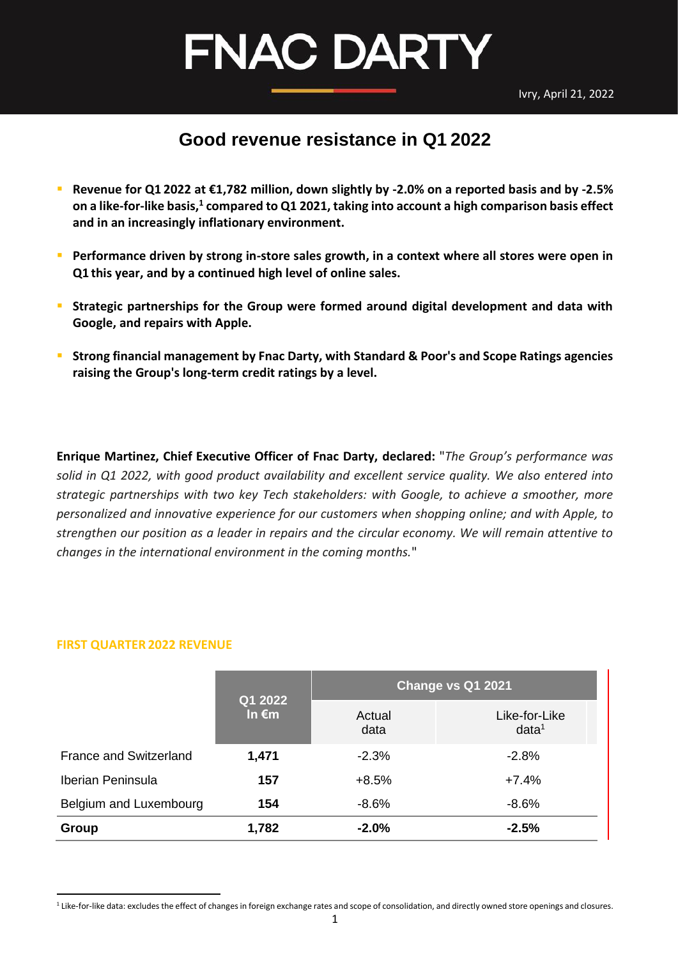Ivry, April 21, 2022

### **FNAC DARTY**

### <span id="page-0-0"></span>**Good revenue resistance in Q1 2022**

- **Revenue for Q1 2022 at €1,782 million, down slightly by -2.0% on a reported basis and by -2.5% on a like-for-like basis,<sup>1</sup> compared to Q1 2021, taking into account a high comparison basis effect and in an increasingly inflationary environment.**
- **E** Performance driven by strong in-store sales growth, in a context where all stores were open in **Q1 this year, and by a continued high level of online sales.**
- **EXTER 15 Intermal Strategic partnerships for the Group were formed around digital development and data with Google, and repairs with Apple.**
- **EXTED FILM STRONG FILM STRONG IS STRONG FILM STANDER STANDER STANDER STATISTS ARE:** Strong Financies **Statings agencies raising the Group's long-term credit ratings by a level.**

**Enrique Martinez, Chief Executive Officer of Fnac Darty, declared:** "*The Group's performance was solid in Q1 2022, with good product availability and excellent service quality. We also entered into strategic partnerships with two key Tech stakeholders: with Google, to achieve a smoother, more personalized and innovative experience for our customers when shopping online; and with Apple, to strengthen our position as a leader in repairs and the circular economy. We will remain attentive to changes in the international environment in the coming months.*"

#### **FIRST QUARTER 2022 REVENUE**

|                               | Q1 2022         | Change vs Q1 2021 |                                    |  |
|-------------------------------|-----------------|-------------------|------------------------------------|--|
|                               | In $\epsilon$ m | Actual<br>data    | Like-for-Like<br>data <sup>1</sup> |  |
| <b>France and Switzerland</b> | 1,471           | $-2.3%$           | $-2.8%$                            |  |
| <b>Iberian Peninsula</b>      | 157             | $+8.5%$           | $+7.4%$                            |  |
| Belgium and Luxembourg        | 154             | $-8.6%$           | $-8.6\%$                           |  |
| Group                         | 1,782           | $-2.0%$           | $-2.5%$                            |  |

<sup>&</sup>lt;sup>1</sup> Like-for-like data: excludes the effect of changes in foreign exchange rates and scope of consolidation, and directly owned store openings and closures.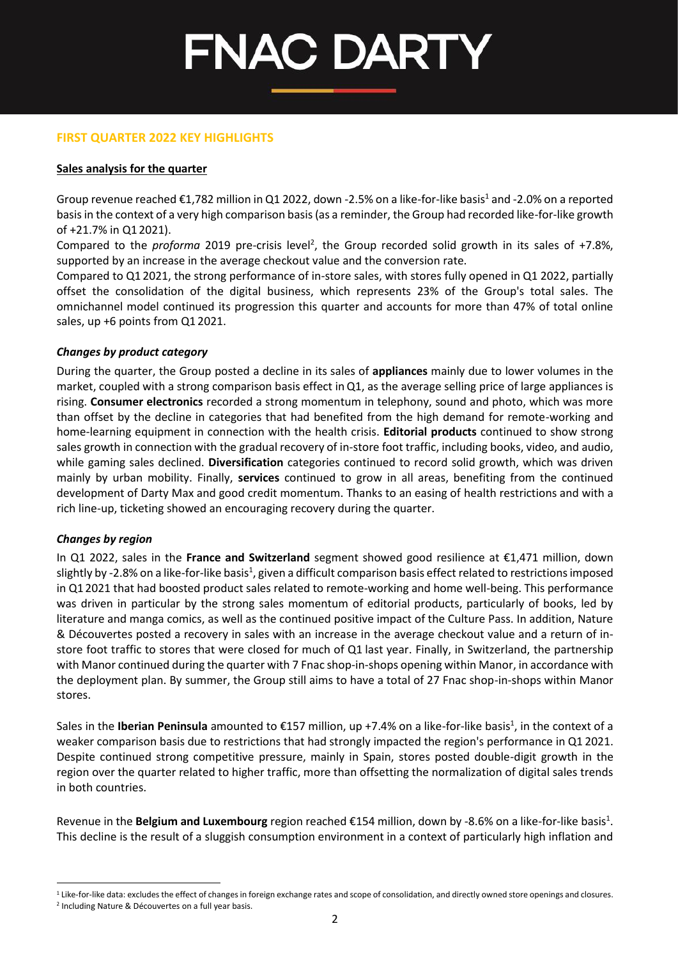#### **FIRST QUARTER 2022 KEY HIGHLIGHTS**

#### **Sales analysis for the quarter**

Group revenue reached  $\epsilon$ 1,782 million in Q1 2022, down -2.5% on a like-for-like basis<sup>1</sup> and -2.0% on a reported basis in the context of a very high comparison basis (as a reminder, the Group had recorded like-for-like growth of +21.7% in Q1 2021).

Compared to the *proforma* 2019 pre-crisis level<sup>2</sup>, the Group recorded solid growth in its sales of +7.8%, supported by an increase in the average checkout value and the conversion rate.

Compared to Q1 2021, the strong performance of in-store sales, with stores fully opened in Q1 2022, partially offset the consolidation of the digital business, which represents 23% of the Group's total sales. The omnichannel model continued its progression this quarter and accounts for more than 47% of total online sales, up +6 points from Q1 2021.

#### *Changes by product category*

During the quarter, the Group posted a decline in its sales of **appliances** mainly due to lower volumes in the market, coupled with a strong comparison basis effect inQ1, as the average selling price of large appliances is rising. **Consumer electronics** recorded a strong momentum in telephony, sound and photo, which was more than offset by the decline in categories that had benefited from the high demand for remote-working and home-learning equipment in connection with the health crisis. **Editorial products** continued to show strong sales growth in connection with the gradual recovery of in-store foot traffic, including books, video, and audio, while gaming sales declined. **Diversification** categories continued to record solid growth, which was driven mainly by urban mobility. Finally, **services** continued to grow in all areas, benefiting from the continued development of Darty Max and good credit momentum. Thanks to an easing of health restrictions and with a rich line-up, ticketing showed an encouraging recovery during the quarter.

#### *Changes by region*

In Q1 2022, sales in the **France and Switzerland** segment showed good resilience at €1,471 million, down [s](#page-0-0)lightly by -2.8% on a like-for-like basis $^1$ , given a difficult comparison basis effect related to restrictions imposed in Q1 2021 that had boosted product sales related to remote-working and home well-being. This performance was driven in particular by the strong sales momentum of editorial products, particularly of books, led by literature and manga comics, as well as the continued positive impact of the Culture Pass. In addition, Nature & Découvertes posted a recovery in sales with an increase in the average checkout value and a return of instore foot traffic to stores that were closed for much of Q1 last year. Finally, in Switzerland, the partnership with Manor continued during the quarter with 7 Fnac shop-in-shops opening within Manor, in accordance with the deployment plan. By summer, the Group still aims to have a total of 27 Fnac shop-in-shops within Manor stores.

Sale[s](#page-0-0) in the **Iberian Peninsula** amounted to €157 million, up +7.4% on a like-for-like basis<sup>1</sup>, in the context of a weaker comparison basis due to restrictions that had strongly impacted the region's performance in Q1 2021. Despite continued strong competitive pressure, mainly in Spain, stores posted double-digit growth in the region over the quarter related to higher traffic, more than offsetting the normalization of digital sales trends in both countries.

Revenue in the **Belgium and Luxembourg** region reached €154 million, down by -8.6% on a like-for-like ba[s](#page-0-0)is<sup>1</sup>. This decline is the result of a sluggish consumption environment in a context of particularly high inflation and

 $1$  Like-for-like data: excludes the effect of changes in foreign exchange rates and scope of consolidation, and directly owned store openings and closures.

<sup>2</sup> Including Nature & Découvertes on a full year basis.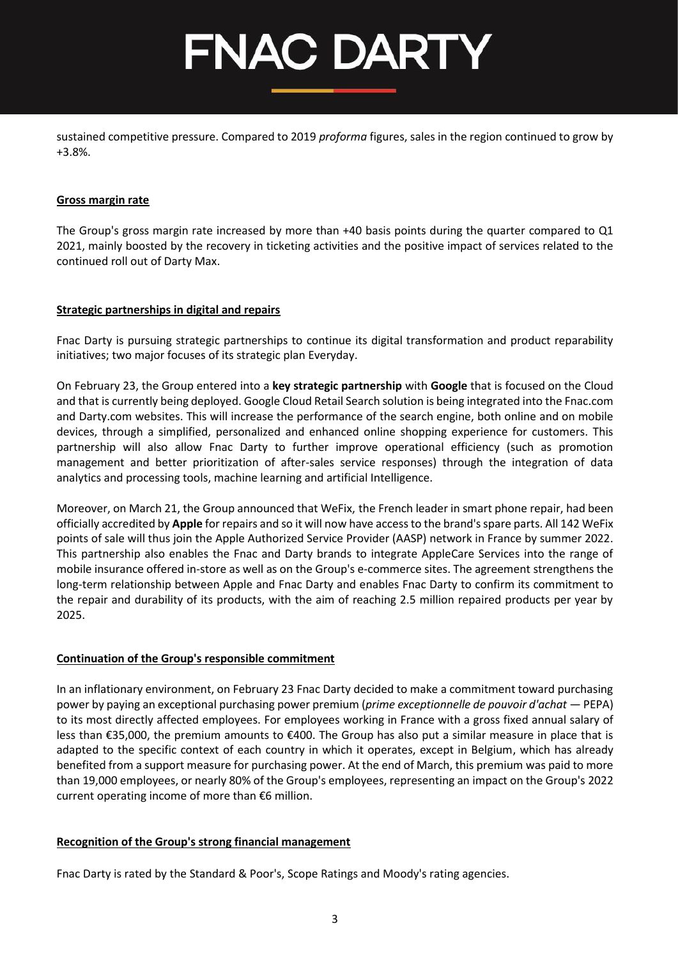sustained competitive pressure. Compared to 2019 *proforma* figures, sales in the region continued to grow by +3.8%.

#### **Gross margin rate**

The Group's gross margin rate increased by more than +40 basis points during the quarter compared to Q1 2021, mainly boosted by the recovery in ticketing activities and the positive impact of services related to the continued roll out of Darty Max.

#### **Strategic partnerships in digital and repairs**

Fnac Darty is pursuing strategic partnerships to continue its digital transformation and product reparability initiatives; two major focuses of its strategic plan Everyday.

On February 23, the Group entered into a **key strategic partnership** with **Google** that is focused on the Cloud and that is currently being deployed. Google Cloud Retail Search solution is being integrated into the Fnac.com and Darty.com websites. This will increase the performance of the search engine, both online and on mobile devices, through a simplified, personalized and enhanced online shopping experience for customers. This partnership will also allow Fnac Darty to further improve operational efficiency (such as promotion management and better prioritization of after-sales service responses) through the integration of data analytics and processing tools, machine learning and artificial Intelligence.

Moreover, on March 21, the Group announced that WeFix, the French leader in smart phone repair, had been officially accredited by **Apple** for repairs and so it will now have access to the brand's spare parts. All 142 WeFix points of sale will thus join the Apple Authorized Service Provider (AASP) network in France by summer 2022. This partnership also enables the Fnac and Darty brands to integrate AppleCare Services into the range of mobile insurance offered in-store as well as on the Group's e-commerce sites. The agreement strengthens the long-term relationship between Apple and Fnac Darty and enables Fnac Darty to confirm its commitment to the repair and durability of its products, with the aim of reaching 2.5 million repaired products per year by 2025.

#### **Continuation of the Group's responsible commitment**

In an inflationary environment, on February 23 Fnac Darty decided to make a commitment toward purchasing power by paying an exceptional purchasing power premium (*prime exceptionnelle de pouvoir d'achat* — PEPA) to its most directly affected employees. For employees working in France with a gross fixed annual salary of less than €35,000, the premium amounts to €400. The Group has also put a similar measure in place that is adapted to the specific context of each country in which it operates, except in Belgium, which has already benefited from a support measure for purchasing power. At the end of March, this premium was paid to more than 19,000 employees, or nearly 80% of the Group's employees, representing an impact on the Group's 2022 current operating income of more than €6 million.

#### **Recognition of the Group's strong financial management**

Fnac Darty is rated by the Standard & Poor's, Scope Ratings and Moody's rating agencies.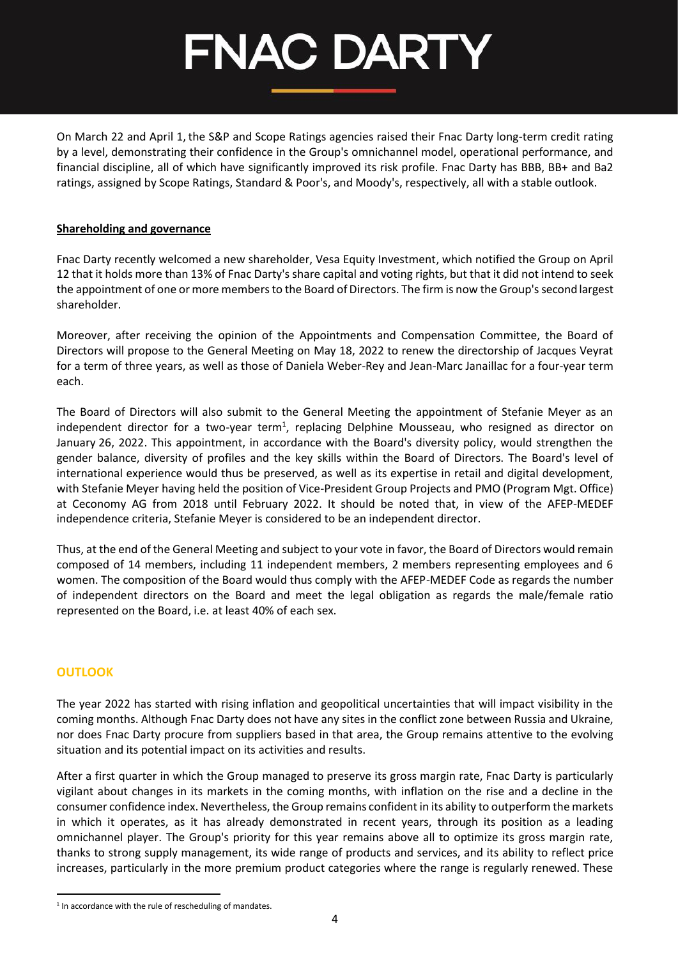On March 22 and April 1, the S&P and Scope Ratings agencies raised their Fnac Darty long-term credit rating by a level, demonstrating their confidence in the Group's omnichannel model, operational performance, and financial discipline, all of which have significantly improved its risk profile. Fnac Darty has BBB, BB+ and Ba2 ratings, assigned by Scope Ratings, Standard & Poor's, and Moody's, respectively, all with a stable outlook.

#### **Shareholding and governance**

Fnac Darty recently welcomed a new shareholder, Vesa Equity Investment, which notified the Group on April 12 that it holds more than 13% of Fnac Darty's share capital and voting rights, but that it did not intend to seek the appointment of one or more members to the Board of Directors. The firm is now the Group's secondlargest shareholder.

Moreover, after receiving the opinion of the Appointments and Compensation Committee, the Board of Directors will propose to the General Meeting on May 18, 2022 to renew the directorship of Jacques Veyrat for a term of three years, as well as those of Daniela Weber-Rey and Jean-Marc Janaillac for a four-year term each.

The Board of Directors will also submit to the General Meeting the appointment of Stefanie Meyer as an independent director for a two-year term<sup>1</sup>, replacing Delphine Mousseau, who resigned as director on January 26, 2022. This appointment, in accordance with the Board's diversity policy, would strengthen the gender balance, diversity of profiles and the key skills within the Board of Directors. The Board's level of international experience would thus be preserved, as well as its expertise in retail and digital development, with Stefanie Meyer having held the position of Vice-President Group Projects and PMO (Program Mgt. Office) at Ceconomy AG from 2018 until February 2022. It should be noted that, in view of the AFEP-MEDEF independence criteria, Stefanie Meyer is considered to be an independent director.

Thus, at the end of the General Meeting and subject to your vote in favor, the Board of Directors would remain composed of 14 members, including 11 independent members, 2 members representing employees and 6 women. The composition of the Board would thus comply with the AFEP-MEDEF Code as regards the number of independent directors on the Board and meet the legal obligation as regards the male/female ratio represented on the Board, i.e. at least 40% of each sex.

#### **OUTLOOK**

The year 2022 has started with rising inflation and geopolitical uncertainties that will impact visibility in the coming months. Although Fnac Darty does not have any sites in the conflict zone between Russia and Ukraine, nor does Fnac Darty procure from suppliers based in that area, the Group remains attentive to the evolving situation and its potential impact on its activities and results.

After a first quarter in which the Group managed to preserve its gross margin rate, Fnac Darty is particularly vigilant about changes in its markets in the coming months, with inflation on the rise and a decline in the consumer confidence index. Nevertheless, the Group remains confident in its ability to outperform the markets in which it operates, as it has already demonstrated in recent years, through its position as a leading omnichannel player. The Group's priority for this year remains above all to optimize its gross margin rate, thanks to strong supply management, its wide range of products and services, and its ability to reflect price increases, particularly in the more premium product categories where the range is regularly renewed. These

<sup>&</sup>lt;sup>1</sup> In accordance with the rule of rescheduling of mandates.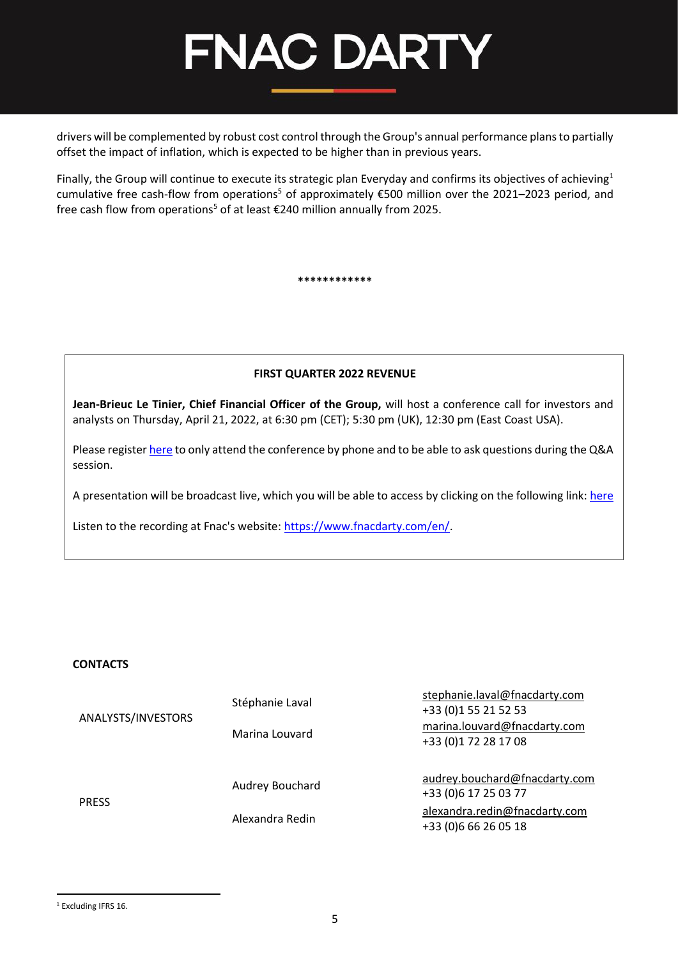

drivers will be complemented by robust cost control through the Group's annual performance plans to partially offset the impact of inflation, which is expected to be higher than in previous years.

Finally, the Group will continue to execute its strategic plan Everyday and confirms its objectives of achieving<sup>1</sup> cumulative free cash-flow from operations<sup>[5](#page-4-0)</sup> of approximately  $\epsilon$ 500 million over the 2021–2023 period, and free ca[s](#page-4-0)h flow from operations<sup>5</sup> of at least  $\epsilon$ 240 million annually from 2025.

<span id="page-4-0"></span>**\*\*\*\*\*\*\*\*\*\*\*\***

#### **FIRST QUARTER 2022 REVENUE**

**Jean-Brieuc Le Tinier, Chief Financial Officer of the Group,** will host a conference call for investors and analysts on Thursday, April 21, 2022, at 6:30 pm (CET); 5:30 pm (UK), 12:30 pm (East Coast USA).

Please registe[r here](https://event.loopup.com/SelfRegistration/registration.aspx?booking=ZAqJUPruj3u0pX3yJbbY8bojc1xWXMV77Cp3s2akWE4=&b=528f7d33-d6cf-439e-b143-56d7da6b8e57) to only attend the conference by phone and to be able to ask questions during the Q&A session.

A presentation will be broadcast live, which you will be able to access by clicking on the following link: [here](https://channel.royalcast.com/landingpage/fnacdartyfr/20220421_1/)

Listen to the recording at Fnac's website: [https://www.fnacdarty.com/en/.](https://www.fnacdarty.com/en/)

#### **CONTACTS**

| ANALYSTS/INVESTORS | Stéphanie Laval | stephanie.laval@fnacdarty.com<br>+33 (0)1 55 21 52 53  |
|--------------------|-----------------|--------------------------------------------------------|
|                    | Marina Louvard  | marina.louvard@fnacdarty.com<br>+33 (0)1 72 28 17 08   |
| <b>PRESS</b>       | Audrey Bouchard | audrey.bouchard@fnacdarty.com<br>+33 (0) 6 17 25 03 77 |
|                    | Alexandra Redin | alexandra.redin@fnacdarty.com<br>+33 (0) 6 66 26 05 18 |

<sup>1</sup> Excluding IFRS 16.